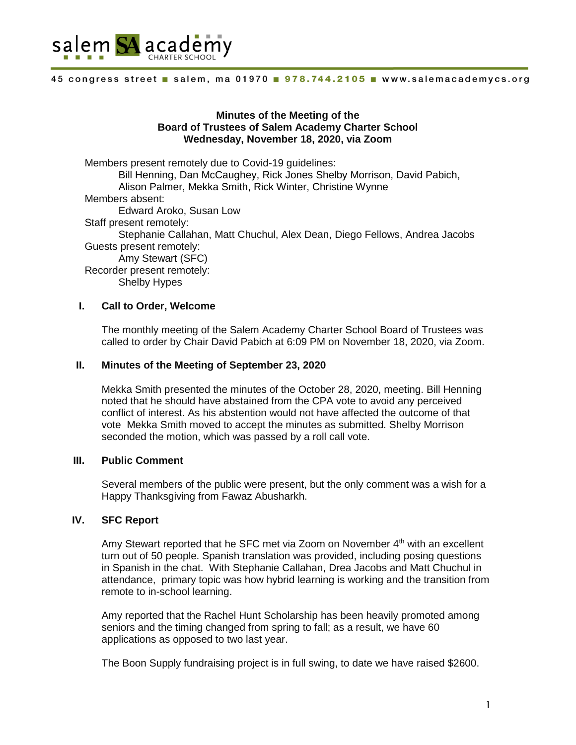

#### 45 congress street salem, ma 01970 . 978.744.2105 . www.salemacademycs.org

# **Minutes of the Meeting of the Board of Trustees of Salem Academy Charter School Wednesday, November 18, 2020, via Zoom**

Members present remotely due to Covid-19 guidelines: Bill Henning, Dan McCaughey, Rick Jones Shelby Morrison, David Pabich, Alison Palmer, Mekka Smith, Rick Winter, Christine Wynne Members absent: Edward Aroko, Susan Low Staff present remotely: Stephanie Callahan, Matt Chuchul, Alex Dean, Diego Fellows, Andrea Jacobs Guests present remotely: Amy Stewart (SFC) Recorder present remotely: Shelby Hypes

# **I. Call to Order, Welcome**

The monthly meeting of the Salem Academy Charter School Board of Trustees was called to order by Chair David Pabich at 6:09 PM on November 18, 2020, via Zoom.

# **II. Minutes of the Meeting of September 23, 2020**

Mekka Smith presented the minutes of the October 28, 2020, meeting. Bill Henning noted that he should have abstained from the CPA vote to avoid any perceived conflict of interest. As his abstention would not have affected the outcome of that vote Mekka Smith moved to accept the minutes as submitted. Shelby Morrison seconded the motion, which was passed by a roll call vote.

# **III. Public Comment**

Several members of the public were present, but the only comment was a wish for a Happy Thanksgiving from Fawaz Abusharkh.

# **IV. SFC Report**

Amy Stewart reported that he SFC met via Zoom on November  $4<sup>th</sup>$  with an excellent turn out of 50 people. Spanish translation was provided, including posing questions in Spanish in the chat. With Stephanie Callahan, Drea Jacobs and Matt Chuchul in attendance, primary topic was how hybrid learning is working and the transition from remote to in-school learning.

Amy reported that the Rachel Hunt Scholarship has been heavily promoted among seniors and the timing changed from spring to fall; as a result, we have 60 applications as opposed to two last year.

The Boon Supply fundraising project is in full swing, to date we have raised \$2600.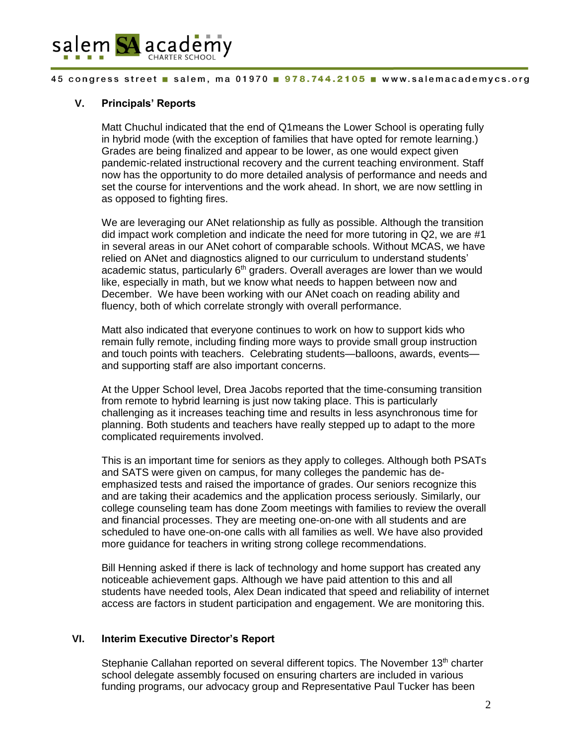

### 45 congress street salem, ma 01970 . 978.744.2105 . www.salemacademycs.org

# **V. Principals' Reports**

Matt Chuchul indicated that the end of Q1means the Lower School is operating fully in hybrid mode (with the exception of families that have opted for remote learning.) Grades are being finalized and appear to be lower, as one would expect given pandemic-related instructional recovery and the current teaching environment. Staff now has the opportunity to do more detailed analysis of performance and needs and set the course for interventions and the work ahead. In short, we are now settling in as opposed to fighting fires.

We are leveraging our ANet relationship as fully as possible. Although the transition did impact work completion and indicate the need for more tutoring in Q2, we are #1 in several areas in our ANet cohort of comparable schools. Without MCAS, we have relied on ANet and diagnostics aligned to our curriculum to understand students' academic status, particularly  $6<sup>th</sup>$  graders. Overall averages are lower than we would like, especially in math, but we know what needs to happen between now and December. We have been working with our ANet coach on reading ability and fluency, both of which correlate strongly with overall performance.

Matt also indicated that everyone continues to work on how to support kids who remain fully remote, including finding more ways to provide small group instruction and touch points with teachers. Celebrating students—balloons, awards, events and supporting staff are also important concerns.

At the Upper School level, Drea Jacobs reported that the time-consuming transition from remote to hybrid learning is just now taking place. This is particularly challenging as it increases teaching time and results in less asynchronous time for planning. Both students and teachers have really stepped up to adapt to the more complicated requirements involved.

This is an important time for seniors as they apply to colleges. Although both PSATs and SATS were given on campus, for many colleges the pandemic has deemphasized tests and raised the importance of grades. Our seniors recognize this and are taking their academics and the application process seriously. Similarly, our college counseling team has done Zoom meetings with families to review the overall and financial processes. They are meeting one-on-one with all students and are scheduled to have one-on-one calls with all families as well. We have also provided more guidance for teachers in writing strong college recommendations.

Bill Henning asked if there is lack of technology and home support has created any noticeable achievement gaps. Although we have paid attention to this and all students have needed tools, Alex Dean indicated that speed and reliability of internet access are factors in student participation and engagement. We are monitoring this.

# **VI. Interim Executive Director's Report**

Stephanie Callahan reported on several different topics. The November  $13<sup>th</sup>$  charter school delegate assembly focused on ensuring charters are included in various funding programs, our advocacy group and Representative Paul Tucker has been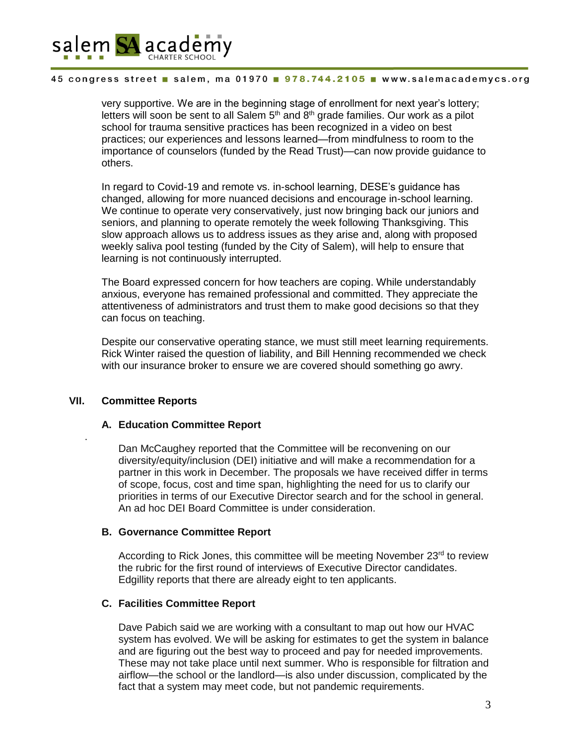

### 45 congress street salem, ma 01970 . 978.744.2105 . www.salemacademycs.org

very supportive. We are in the beginning stage of enrollment for next year's lottery; letters will soon be sent to all Salem  $5<sup>th</sup>$  and  $8<sup>th</sup>$  grade families. Our work as a pilot school for trauma sensitive practices has been recognized in a video on best practices; our experiences and lessons learned—from mindfulness to room to the importance of counselors (funded by the Read Trust)—can now provide guidance to others.

In regard to Covid-19 and remote vs. in-school learning, DESE's guidance has changed, allowing for more nuanced decisions and encourage in-school learning. We continue to operate very conservatively, just now bringing back our juniors and seniors, and planning to operate remotely the week following Thanksgiving. This slow approach allows us to address issues as they arise and, along with proposed weekly saliva pool testing (funded by the City of Salem), will help to ensure that learning is not continuously interrupted.

The Board expressed concern for how teachers are coping. While understandably anxious, everyone has remained professional and committed. They appreciate the attentiveness of administrators and trust them to make good decisions so that they can focus on teaching.

Despite our conservative operating stance, we must still meet learning requirements. Rick Winter raised the question of liability, and Bill Henning recommended we check with our insurance broker to ensure we are covered should something go awry.

# **VII. Committee Reports**

.

# **A. Education Committee Report**

Dan McCaughey reported that the Committee will be reconvening on our diversity/equity/inclusion (DEI) initiative and will make a recommendation for a partner in this work in December. The proposals we have received differ in terms of scope, focus, cost and time span, highlighting the need for us to clarify our priorities in terms of our Executive Director search and for the school in general. An ad hoc DEI Board Committee is under consideration.

# **B. Governance Committee Report**

According to Rick Jones, this committee will be meeting November  $23<sup>rd</sup>$  to review the rubric for the first round of interviews of Executive Director candidates. Edgillity reports that there are already eight to ten applicants.

# **C. Facilities Committee Report**

Dave Pabich said we are working with a consultant to map out how our HVAC system has evolved. We will be asking for estimates to get the system in balance and are figuring out the best way to proceed and pay for needed improvements. These may not take place until next summer. Who is responsible for filtration and airflow—the school or the landlord—is also under discussion, complicated by the fact that a system may meet code, but not pandemic requirements.